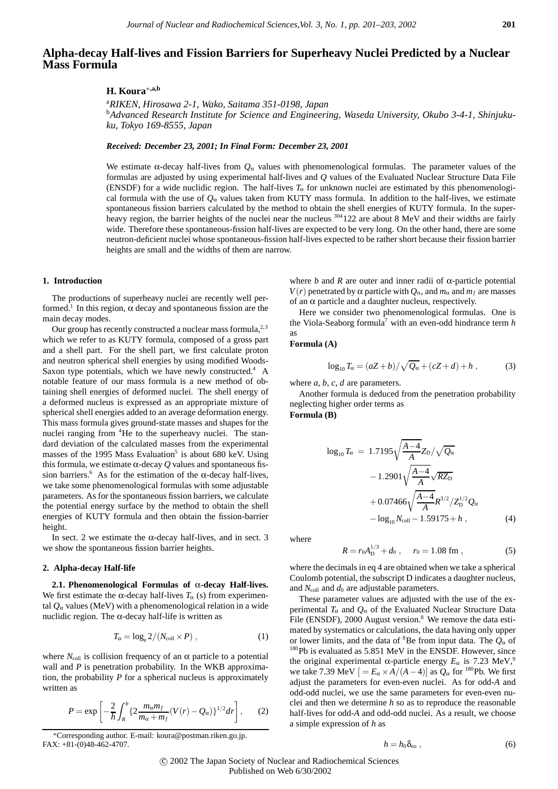# **Alpha-decay Half-lives and Fission Barriers for Superheavy Nuclei Predicted by a Nuclear Mass Formula**

## **H. Koura**∗**,a,b**

a *RIKEN, Hirosawa 2-1, Wako, Saitama 351-0198, Japan* b *Advanced Research Institute for Science and Engineering, Waseda University, Okubo 3-4-1, Shinjukuku, Tokyo 169-8555, Japan*

*Received: December 23, 2001; In Final Form: December 23, 2001*

We estimate  $\alpha$ -decay half-lives from  $Q_{\alpha}$  values with phenomenological formulas. The parameter values of the formulas are adjusted by using experimental half-lives and *Q* values of the Evaluated Nuclear Structure Data File (ENSDF) for a wide nuclidic region. The half-lives *T*<sup>α</sup> for unknown nuclei are estimated by this phenomenological formula with the use of  $Q_\alpha$  values taken from KUTY mass formula. In addition to the half-lives, we estimate spontaneous fission barriers calculated by the method to obtain the shell energies of KUTY formula. In the superheavy region, the barrier heights of the nuclei near the nucleus  $304122$  are about 8 MeV and their widths are fairly wide. Therefore these spontaneous-fission half-lives are expected to be very long. On the other hand, there are some neutron-deficient nuclei whose spontaneous-fission half-lives expected to be rather short because their fission barrier heights are small and the widths of them are narrow.

## **1. Introduction**

The productions of superheavy nuclei are recently well performed.<sup>1</sup> In this region,  $\alpha$  decay and spontaneous fission are the main decay modes.

Our group has recently constructed a nuclear mass formula,  $2,3$ which we refer to as KUTY formula, composed of a gross part and a shell part. For the shell part, we first calculate proton and neutron spherical shell energies by using modified Woods-Saxon type potentials, which we have newly constructed.<sup>4</sup> A notable feature of our mass formula is a new method of obtaining shell energies of deformed nuclei. The shell energy of a deformed nucleus is expressed as an appropriate mixture of spherical shell energies added to an average deformation energy. This mass formula gives ground-state masses and shapes for the nuclei ranging from <sup>4</sup>He to the superheavy nuclei. The standard deviation of the calculated masses from the experimental masses of the 1995 Mass Evaluation<sup>5</sup> is about 680 keV. Using this formula, we estimate α-decay *Q* values and spontaneous fission barriers.<sup>6</sup> As for the estimation of the  $\alpha$ -decay half-lives, we take some phenomenological formulas with some adjustable parameters. As for the spontaneous fission barriers, we calculate the potential energy surface by the method to obtain the shell energies of KUTY formula and then obtain the fission-barrier height.

In sect. 2 we estimate the  $\alpha$ -decay half-lives, and in sect. 3 we show the spontaneous fission barrier heights.

## **2. Alpha-decay Half-life**

**2.1. Phenomenological Formulas of** α**-decay Half-lives.** We first estimate the  $\alpha$ -decay half-lives  $T_{\alpha}$  (s) from experimental  $Q_{\alpha}$  values (MeV) with a phenomenological relation in a wide nuclidic region. The α-decay half-life is written as

$$
T_{\alpha} = \log_{e} 2/(N_{\text{coll}} \times P) , \qquad (1)
$$

where  $N_{\text{coll}}$  is collision frequency of an  $\alpha$  particle to a potential wall and *P* is penetration probability. In the WKB approximation, the probability *P* for a spherical nucleus is approximately written as

$$
P = \exp\left[-\frac{2}{\hbar} \int_{R}^{b} \{2\frac{m_{\alpha}m_{f}}{m_{\alpha} + m_{f}} (V(r) - Q_{\alpha})\}^{1/2} dr\right],
$$
 (2)

where  $b$  and  $R$  are outer and inner radii of  $\alpha$ -particle potential *V*(*r*) penetrated by  $\alpha$  particle with  $Q_{\alpha}$ , and  $m_{\alpha}$  and  $m_f$  are masses of an  $\alpha$  particle and a daughter nucleus, respectively.

Here we consider two phenomenological formulas. One is the Viola-Seaborg formula7 with an even-odd hindrance term *h* as

## **Formula (A)**

$$
\log_{10} T_{\alpha} = (aZ + b) / \sqrt{Q_{\alpha}} + (cZ + d) + h , \qquad (3)
$$

where *a*, *b*, *c*, *d* are parameters.

Another formula is deduced from the penetration probability neglecting higher order terms as

**Formula (B)**

$$
\log_{10} T_{\alpha} = 1.7195 \sqrt{\frac{A-4}{A}} Z_{D} / \sqrt{Q_{\alpha}}
$$

$$
- 1.2901 \sqrt{\frac{A-4}{A}} \sqrt{R Z_{D}}
$$

$$
+ 0.07466 \sqrt{\frac{A-4}{A}} R^{3/2} / Z_{D}^{1/2} Q_{\alpha}
$$

$$
- \log_{10} N_{\text{coll}} - 1.59175 + h , \qquad (4)
$$

where

$$
R = r_0 A_D^{1/3} + d_0 , \quad r_0 = 1.08 \text{ fm} , \tag{5}
$$

where the decimals in eq 4 are obtained when we take a spherical Coulomb potential, the subscript D indicates a daughter nucleus, and *N*<sub>coll</sub> and *d*<sub>0</sub> are adjustable parameters.

These parameter values are adjusted with the use of the experimental  $T_\alpha$  and  $Q_\alpha$  of the Evaluated Nuclear Structure Data File (ENSDF),  $2000$  August version.<sup>8</sup> We remove the data estimated by systematics or calculations, the data having only upper or lower limits, and the data of <sup>8</sup> Be from input data. The *Q*<sup>α</sup> of <sup>180</sup>Pb is evaluated as 5.851 MeV in the ENSDF. However, since the original experimental  $\alpha$ -particle energy  $E_{\alpha}$  is 7.23 MeV,<sup>9</sup> we take 7.39 MeV  $[ = E_{\alpha} \times A/(A-4)]$  as  $Q_{\alpha}$  for <sup>180</sup>Pb. We first adjust the parameters for even-even nuclei. As for odd-*A* and odd-odd nuclei, we use the same parameters for even-even nuclei and then we determine *h* so as to reproduce the reasonable half-lives for odd-*A* and odd-odd nuclei. As a result, we choose a simple expression of *h* as

$$
h = h_0 \delta_{\rm eo} \,, \tag{6}
$$

c 2002 The Japan Society of Nuclear and Radiochemical Sciences Published on Web 6/30/2002

<sup>∗</sup>Corresponding author. E-mail: koura@postman.riken.go.jp. FAX: +81-(0)48-462-4707.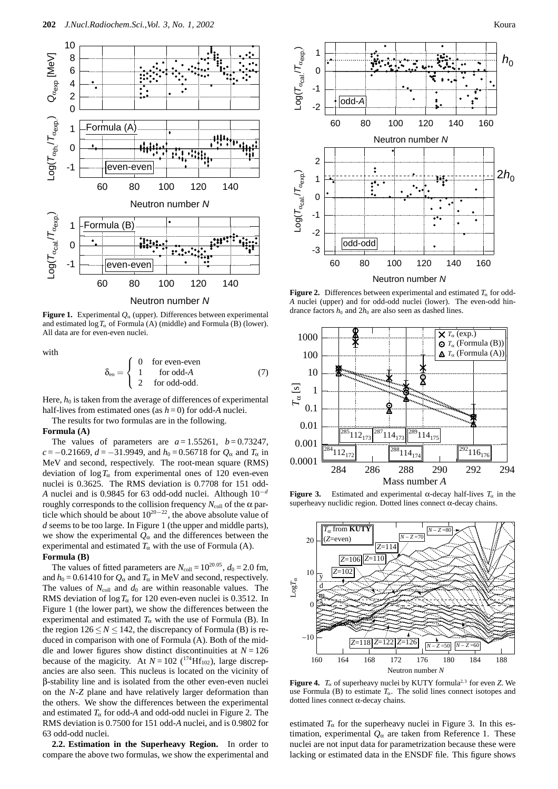

**Figure 1.** Experimental  $Q_\alpha$  (upper). Differences between experimental and estimated  $\log T_{\alpha}$  of Formula (A) (middle) and Formula (B) (lower). All data are for even-even nuclei.

with

$$
\delta_{\rm eo} = \begin{cases}\n0 & \text{for even-even} \\
1 & \text{for odd-A} \\
2 & \text{for odd-odd}\n\end{cases}
$$
\n(7)

Here,  $h_0$  is taken from the average of differences of experimental half-lives from estimated ones (as  $h = 0$ ) for odd-A nuclei.

The results for two formulas are in the following.

### **Formula (A)**

The values of parameters are  $a = 1.55261$ ,  $b = 0.73247$ ,  $c = -0.21669$ ,  $d = -31.9949$ , and  $h_0 = 0.56718$  for  $Q_\alpha$  and  $T_\alpha$  in MeV and second, respectively. The root-mean square (RMS) deviation of  $\log T_{\alpha}$  from experimental ones of 120 even-even nuclei is 0.3625. The RMS deviation is 0.7708 for 151 odd-*A* nuclei and is 0.9845 for 63 odd-odd nuclei. Although 10*−<sup>d</sup>* roughly corresponds to the collision frequency  $N_{\text{coll}}$  of the α particle which should be about 1020*−*22, the above absolute value of *d* seems to be too large. In Figure 1 (the upper and middle parts), we show the experimental  $Q_{\alpha}$  and the differences between the experimental and estimated  $T_\alpha$  with the use of Formula (A). **Formula (B)**

The values of fitted parameters are  $N_{\text{coll}} = 10^{20.05}$ ,  $d_0 = 2.0$  fm, and  $h_0 = 0.61410$  for  $Q_\alpha$  and  $T_\alpha$  in MeV and second, respectively. The values of  $N_{\text{coll}}$  and  $d_0$  are within reasonable values. The RMS deviation of  $\log T_{\alpha}$  for 120 even-even nuclei is 0.3512. In Figure 1 (the lower part), we show the differences between the experimental and estimated  $T_\alpha$  with the use of Formula (B). In the region  $126 \le N \le 142$ , the discrepancy of Formula (B) is reduced in comparison with one of Formula (A). Both of the middle and lower figures show distinct discontinuities at  $N = 126$ because of the magicity. At  $N = 102$  (<sup>174</sup>Hf<sub>102</sub>), large discrepancies are also seen. This nucleus is located on the vicinity of β-stability line and is isolated from the other even-even nuclei on the *N*-*Z* plane and have relatively larger deformation than the others. We show the differences between the experimental and estimated  $T_\alpha$  for odd-A and odd-odd nuclei in Figure 2. The RMS deviation is 0.7500 for 151 odd-*A* nuclei, and is 0.9802 for 63 odd-odd nuclei.

**2.2. Estimation in the Superheavy Region.** In order to compare the above two formulas, we show the experimental and



Neutron number *N*

**Figure 2.** Differences between experimental and estimated  $T_\alpha$  for odd-*A* nuclei (upper) and for odd-odd nuclei (lower). The even-odd hindrance factors  $h_0$  and  $2h_0$  are also seen as dashed lines.



**Figure 3.** Estimated and experimental  $\alpha$ -decay half-lives  $T_{\alpha}$  in the superheavy nuclidic region. Dotted lines connect α-decay chains.



**Figure 4.**  $T_\alpha$  of superheavy nuclei by KUTY formula<sup>2,3</sup> for even *Z*. We use Formula (B) to estimate  $T_\alpha$ . The solid lines connect isotopes and dotted lines connect α-decay chains.

estimated  $T_\alpha$  for the superheavy nuclei in Figure 3. In this estimation, experimental  $Q_{\alpha}$  are taken from Reference 1. These nuclei are not input data for parametrization because these were lacking or estimated data in the ENSDF file. This figure shows